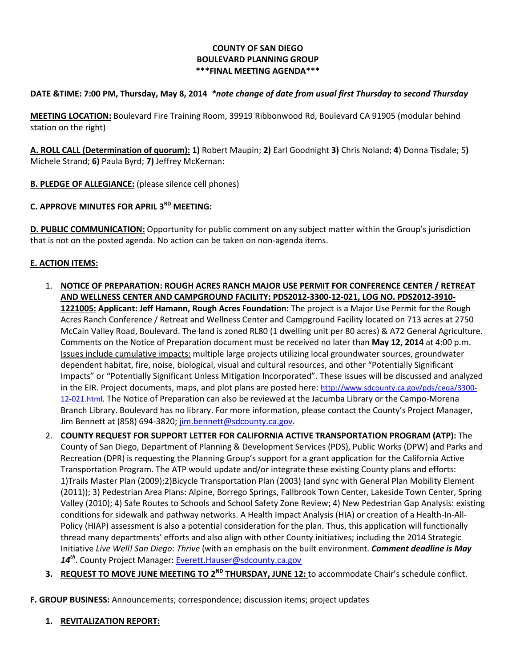#### **COUNTY OF SAN DIEGO BOULEVARD PLANNING GROUP \*\*\*FINAL MEETING AGENDA\*\*\***

### **DATE &TIME: 7:00 PM, Thursday, May 8, 2014** *\*note change of date from usual first Thursday to second Thursday*

**MEETING LOCATION:** Boulevard Fire Training Room, 39919 Ribbonwood Rd, Boulevard CA 91905 (modular behind station on the right)

**A. ROLL CALL (Determination of quorum): 1)** Robert Maupin; **2)** Earl Goodnight **3)** Chris Noland; **4**) Donna Tisdale; 5**)**  Michele Strand; **6)** Paula Byrd; **7)** Jeffrey McKernan:

**B. PLEDGE OF ALLEGIANCE:** (please silence cell phones)

# **C. APPROVE MINUTES FOR APRIL 3RD MEETING:**

**D. PUBLIC COMMUNICATION:** Opportunity for public comment on any subject matter within the Group's jurisdiction that is not on the posted agenda. No action can be taken on non-agenda items.

#### **E. ACTION ITEMS:**

- 1. **NOTICE OF PREPARATION: ROUGH ACRES RANCH MAJOR USE PERMIT FOR CONFERENCE CENTER / RETREAT AND WELLNESS CENTER AND CAMPGROUND FACILITY: PDS2012-3300-12-021, LOG NO. PDS2012-3910- 1221005: Applicant: Jeff Hamann, Rough Acres Foundation:** The project is a Major Use Permit for the Rough Acres Ranch Conference / Retreat and Wellness Center and Campground Facility located on 713 acres at 2750 McCain Valley Road, Boulevard. The land is zoned RL80 (1 dwelling unit per 80 acres) & A72 General Agriculture. Comments on the Notice of Preparation document must be received no later than **May 12, 2014** at 4:00 p.m. Issues include cumulative impacts: multiple large projects utilizing local groundwater sources, groundwater dependent habitat, fire, noise, biological, visual and cultural resources, and other "Potentially Significant Impacts" or "Potentially Significant Unless Mitigation Incorporated". These issues will be discussed and analyzed in the EIR. Project documents, maps, and plot plans are posted here[: http://www.sdcounty.ca.gov/pds/ceqa/3300-](http://www.sdcounty.ca.gov/pds/ceqa/3300-12-021.html) [12-021.html.](http://www.sdcounty.ca.gov/pds/ceqa/3300-12-021.html) The Notice of Preparation can also be reviewed at the Jacumba Library or the Campo-Morena Branch Library. Boulevard has no library. For more information, please contact the County's Project Manager, Jim Bennett at (858) 694-3820; [jim.bennett@sdcounty.ca.gov.](mailto:jim.bennett@sdcounty.ca.gov)
- 2. **COUNTY REQUEST FOR SUPPORT LETTER FOR CALIFORNIA ACTIVE TRANSPORTATION PROGRAM (ATP):** The County of San Diego, Department of Planning & Development Services (PDS), Public Works (DPW) and Parks and Recreation (DPR) is requesting the Planning Group's support for a grant application for the California Active Transportation Program. The ATP would update and/or integrate these existing County plans and efforts: 1)Trails Master Plan (2009);2)Bicycle Transportation Plan (2003) (and sync with General Plan Mobility Element (2011)); 3) Pedestrian Area Plans: Alpine, Borrego Springs, Fallbrook Town Center, Lakeside Town Center, Spring Valley (2010); 4) Safe Routes to Schools and School Safety Zone Review; 4) New Pedestrian Gap Analysis: existing conditions for sidewalk and pathway networks. A Health Impact Analysis (HIA) or creation of a Health-In-All-Policy (HIAP) assessment is also a potential consideration for the plan. Thus, this application will functionally thread many departments' efforts and also align with other County initiatives; including the 2014 Strategic Initiative *Live Well! San Diego*: *Thrive* (with an emphasis on the built environment. *Comment deadline is May 14th*. County Project Manager: [Everett.Hauser@sdcounty.ca.gov](mailto:Everett.Hauser@sdcounty.ca.gov)
- **3. REQUEST TO MOVE JUNE MEETING TO 2ND THURSDAY, JUNE 12:** to accommodate Chair's schedule conflict.

**F. GROUP BUSINESS:** Announcements; correspondence; discussion items; project updates

**1. REVITALIZATION REPORT:**